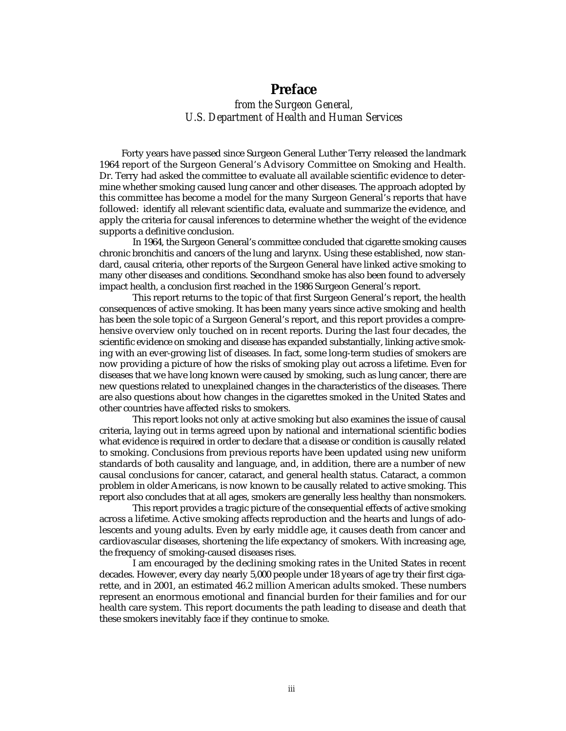## **Preface**

*from the Surgeon General, U.S. Department of Health and Human Services* 

Forty years have passed since Surgeon General Luther Terry released the landmark 1964 report of the Surgeon General's Advisory Committee on Smoking and Health. Dr. Terry had asked the committee to evaluate all available scientific evidence to determine whether smoking caused lung cancer and other diseases. The approach adopted by this committee has become a model for the many Surgeon General's reports that have followed: identify all relevant scientific data, evaluate and summarize the evidence, and apply the criteria for causal inferences to determine whether the weight of the evidence supports a definitive conclusion.

In 1964, the Surgeon General's committee concluded that cigarette smoking causes chronic bronchitis and cancers of the lung and larynx. Using these established, now standard, causal criteria, other reports of the Surgeon General have linked active smoking to many other diseases and conditions. Secondhand smoke has also been found to adversely impact health, a conclusion first reached in the 1986 Surgeon General's report.

This report returns to the topic of that first Surgeon General's report, the health consequences of active smoking. It has been many years since active smoking and health has been the sole topic of a Surgeon General's report, and this report provides a comprehensive overview only touched on in recent reports. During the last four decades, the scientific evidence on smoking and disease has expanded substantially, linking active smoking with an ever-growing list of diseases. In fact, some long-term studies of smokers are now providing a picture of how the risks of smoking play out across a lifetime. Even for diseases that we have long known were caused by smoking, such as lung cancer, there are new questions related to unexplained changes in the characteristics of the diseases. There are also questions about how changes in the cigarettes smoked in the United States and other countries have affected risks to smokers.

This report looks not only at active smoking but also examines the issue of causal criteria, laying out in terms agreed upon by national and international scientific bodies what evidence is required in order to declare that a disease or condition is causally related to smoking. Conclusions from previous reports have been updated using new uniform standards of both causality and language, and, in addition, there are a number of new causal conclusions for cancer, cataract, and general health status. Cataract, a common problem in older Americans, is now known to be causally related to active smoking. This report also concludes that at all ages, smokers are generally less healthy than nonsmokers.

This report provides a tragic picture of the consequential effects of active smoking across a lifetime. Active smoking affects reproduction and the hearts and lungs of adolescents and young adults. Even by early middle age, it causes death from cancer and cardiovascular diseases, shortening the life expectancy of smokers. With increasing age, the frequency of smoking-caused diseases rises.

I am encouraged by the declining smoking rates in the United States in recent decades. However, every day nearly 5,000 people under 18 years of age try their first cigarette, and in 2001, an estimated 46.2 million American adults smoked. These numbers represent an enormous emotional and financial burden for their families and for our health care system. This report documents the path leading to disease and death that these smokers inevitably face if they continue to smoke.